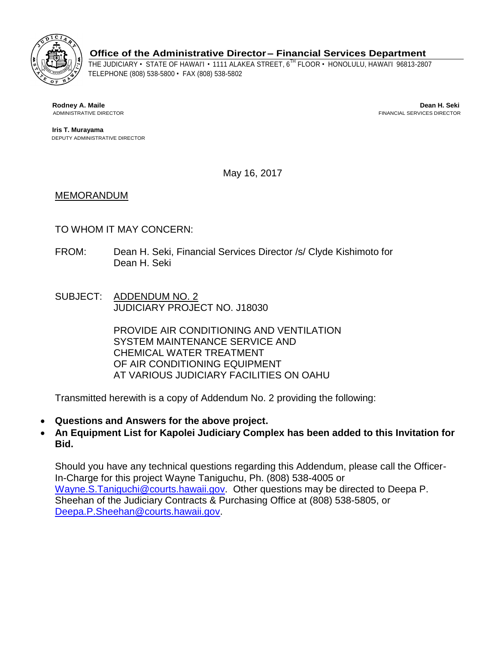

**Office of the Administrative Director – Financial Services Department** 

 THE JUDICIARY • STATE OF HAWAI'I • 1111 ALAKEA STREET, 6TH FLOOR • HONOLULU, HAWAI'I 96813-2807 TELEPHONE (808) 538-5800 • FAX (808) 538-5802

**Rodney A. Maile Dean H. Seki**  ADMINISTRATIVE DIRECTOR FINANCIAL SERVICES DIRECTOR

**Iris T. Murayama**  DEPUTY ADMINISTRATIVE DIRECTOR

May 16, 2017

## MEMORANDUM

## TO WHOM IT MAY CONCERN:

- FROM: Dean H. Seki, Financial Services Director /s/ Clyde Kishimoto for Dean H. Seki
- SUBJECT: ADDENDUM NO. 2 JUDICIARY PROJECT NO. J18030

PROVIDE AIR CONDITIONING AND VENTILATION SYSTEM MAINTENANCE SERVICE AND CHEMICAL WATER TREATMENT OF AIR CONDITIONING EQUIPMENT AT VARIOUS JUDICIARY FACILITIES ON OAHU

Transmitted herewith is a copy of Addendum No. 2 providing the following:

- **Questions and Answers for the above project.**
- **Bid. An Equipment List for Kapolei Judiciary Complex has been added to this Invitation for**

[Wayne.S.Taniguchi@courts.hawaii.gov.](mailto:Wayne.S.Taniguchi@courts.hawaii.gov) Other questions may be directed to Deepa P. Should you have any technical questions regarding this Addendum, please call the Officer-In-Charge for this project Wayne Taniguchu, Ph. (808) 538-4005 or Sheehan of the Judiciary Contracts & Purchasing Office at (808) 538-5805, or [Deepa.P.Sheehan@courts.hawaii.gov.](mailto:Deepa.P.Sheehan@courts.hawaii.gov)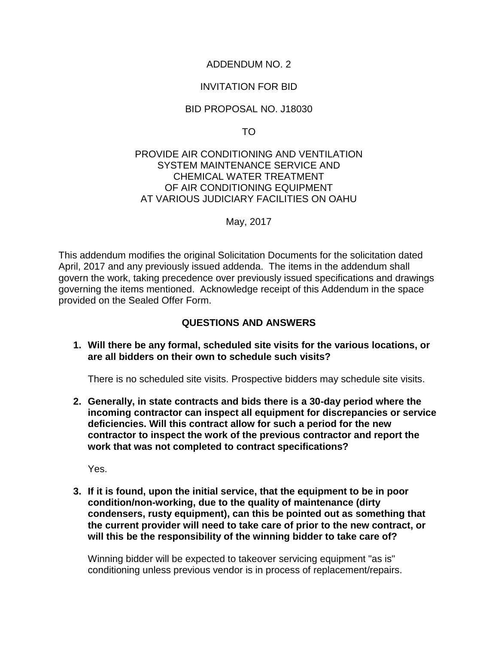## ADDENDUM NO. 2

## INVITATION FOR BID

#### BID PROPOSAL NO. J18030

TO

#### PROVIDE AIR CONDITIONING AND VENTILATION SYSTEM MAINTENANCE SERVICE AND CHEMICAL WATER TREATMENT OF AIR CONDITIONING EQUIPMENT AT VARIOUS JUDICIARY FACILITIES ON OAHU

May, 2017

 This addendum modifies the original Solicitation Documents for the solicitation dated governing the items mentioned. Acknowledge receipt of this Addendum in the space April, 2017 and any previously issued addenda. The items in the addendum shall govern the work, taking precedence over previously issued specifications and drawings provided on the Sealed Offer Form.

## **QUESTIONS AND ANSWERS**

**1. Will there be any formal, scheduled site visits for the various locations, or are all bidders on their own to schedule such visits?** 

There is no scheduled site visits. Prospective bidders may schedule site visits.

**2. Generally, in state contracts and bids there is a 30-day period where the incoming contractor can inspect all equipment for discrepancies or service deficiencies. Will this contract allow for such a period for the new contractor to inspect the work of the previous contractor and report the work that was not completed to contract specifications?** 

Yes.

 **will this be the responsibility of the winning bidder to take care of? 3. If it is found, upon the initial service, that the equipment to be in poor condition/non-working, due to the quality of maintenance (dirty condensers, rusty equipment), can this be pointed out as something that the current provider will need to take care of prior to the new contract, or** 

 Winning bidder will be expected to takeover servicing equipment "as is" conditioning unless previous vendor is in process of replacement/repairs.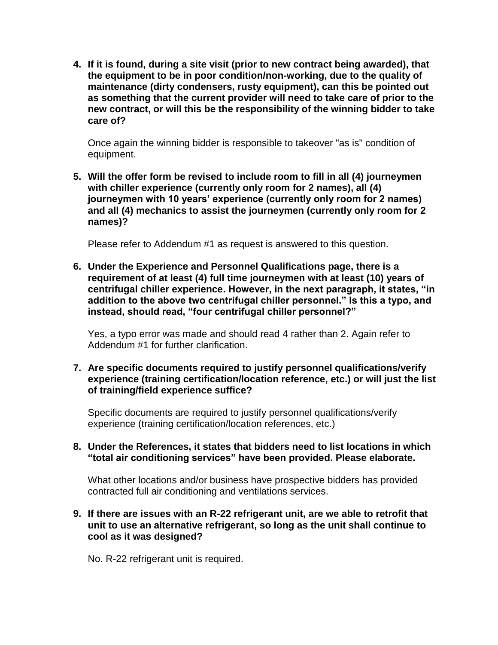**4. If it is found, during a site visit (prior to new contract being awarded), that the equipment to be in poor condition/non-working, due to the quality of maintenance (dirty condensers, rusty equipment), can this be pointed out as something that the current provider will need to take care of prior to the new contract, or will this be the responsibility of the winning bidder to take care of?** 

 Once again the winning bidder is responsible to takeover "as is" condition of equipment.

 **names)? 5. Will the offer form be revised to include room to fill in all (4) journeymen with chiller experience (currently only room for 2 names), all (4) journeymen with 10 years' experience (currently only room for 2 names) and all (4) mechanics to assist the journeymen (currently only room for 2** 

Please refer to Addendum #1 as request is answered to this question.

**6. Under the Experience and Personnel Qualifications page, there is a requirement of at least (4) full time journeymen with at least (10) years of centrifugal chiller experience. However, in the next paragraph, it states, "in addition to the above two centrifugal chiller personnel." Is this a typo, and instead, should read, "four centrifugal chiller personnel?"** 

 Addendum #1 for further clarification. Yes, a typo error was made and should read 4 rather than 2. Again refer to

 **of training/field experience suffice? 7. Are specific documents required to justify personnel qualifications/verify experience (training certification/location reference, etc.) or will just the list** 

Specific documents are required to justify personnel qualifications/verify experience (training certification/location references, etc.)

**8. Under the References, it states that bidders need to list locations in which "total air conditioning services" have been provided. Please elaborate.** 

What other locations and/or business have prospective bidders has provided contracted full air conditioning and ventilations services.

#### **9. If there are issues with an R-22 refrigerant unit, are we able to retrofit that unit to use an alternative refrigerant, so long as the unit shall continue to cool as it was designed?**

No. R-22 refrigerant unit is required.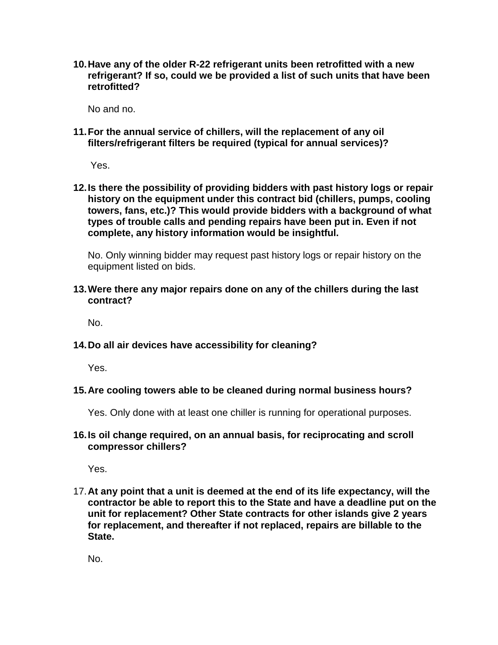**10.Have any of the older R-22 refrigerant units been retrofitted with a new refrigerant? If so, could we be provided a list of such units that have been retrofitted?** 

No and no.

 **filters/refrigerant filters be required (typical for annual services)? 11.For the annual service of chillers, will the replacement of any oil** 

Yes.

**12.Is there the possibility of providing bidders with past history logs or repair history on the equipment under this contract bid (chillers, pumps, cooling towers, fans, etc.)? This would provide bidders with a background of what types of trouble calls and pending repairs have been put in. Even if not complete, any history information would be insightful.** 

No. Only winning bidder may request past history logs or repair history on the equipment listed on bids.

 **contract? 13.Were there any major repairs done on any of the chillers during the last** 

No.

 **14.Do all air devices have accessibility for cleaning?** 

Yes.

 **15.Are cooling towers able to be cleaned during normal business hours?** 

Yes. Only done with at least one chiller is running for operational purposes.

 **16.Is oil change required, on an annual basis, for reciprocating and scroll compressor chillers?** 

Yes.

 **unit for replacement? Other State contracts for other islands give 2 years**  17.**At any point that a unit is deemed at the end of its life expectancy, will the contractor be able to report this to the State and have a deadline put on the for replacement, and thereafter if not replaced, repairs are billable to the State.** 

No.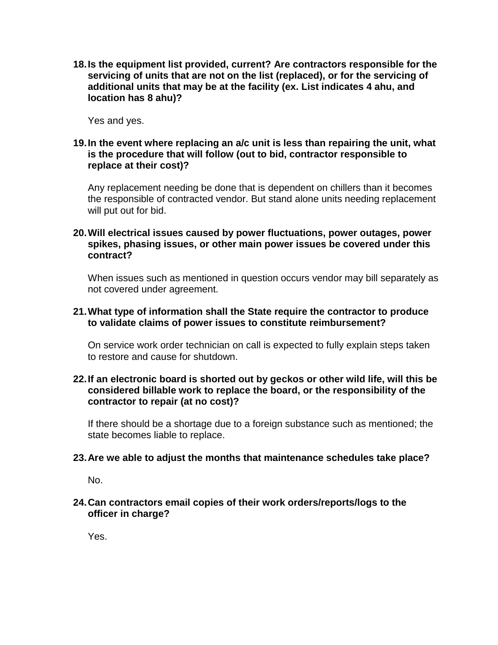**location has 8 ahu)? 18.Is the equipment list provided, current? Are contractors responsible for the servicing of units that are not on the list (replaced), or for the servicing of additional units that may be at the facility (ex. List indicates 4 ahu, and** 

Yes and yes.

#### **19.In the event where replacing an a/c unit is less than repairing the unit, what is the procedure that will follow (out to bid, contractor responsible to replace at their cost)?**

Any replacement needing be done that is dependent on chillers than it becomes the responsible of contracted vendor. But stand alone units needing replacement will put out for bid.

#### **contract? 20.Will electrical issues caused by power fluctuations, power outages, power spikes, phasing issues, or other main power issues be covered under this**

When issues such as mentioned in question occurs vendor may bill separately as not covered under agreement.

#### **21.What type of information shall the State require the contractor to produce to validate claims of power issues to constitute reimbursement?**

On service work order technician on call is expected to fully explain steps taken to restore and cause for shutdown.

#### **contractor to repair (at no cost)? 22.If an electronic board is shorted out by geckos or other wild life, will this be considered billable work to replace the board, or the responsibility of the**

If there should be a shortage due to a foreign substance such as mentioned; the state becomes liable to replace.

#### **23.Are we able to adjust the months that maintenance schedules take place?**

No.

#### **24.Can contractors email copies of their work orders/reports/logs to the officer in charge?**

Yes.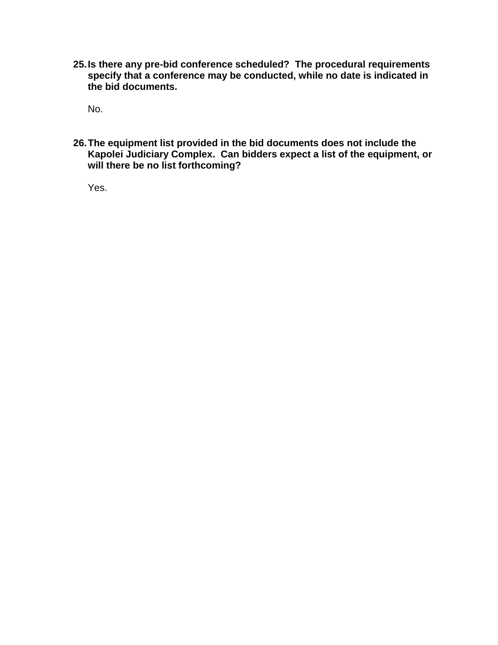**25.Is there any pre-bid conference scheduled? The procedural requirements specify that a conference may be conducted, while no date is indicated in the bid documents.** 

No.

 **Kapolei Judiciary Complex. Can bidders expect a list of the equipment, or 26.The equipment list provided in the bid documents does not include the will there be no list forthcoming?** 

Yes.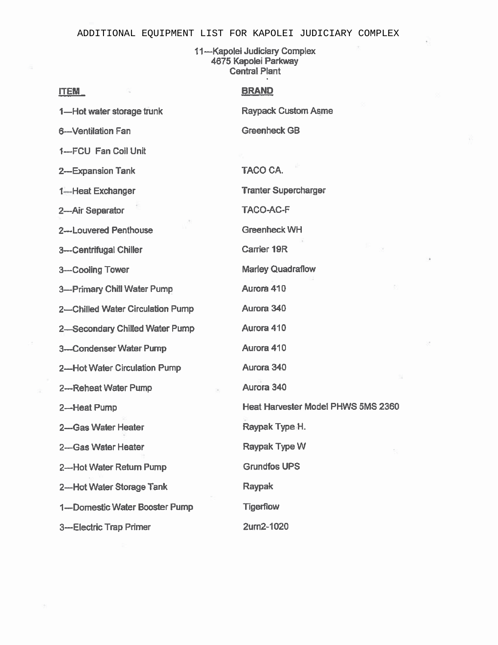#### ADDITIONAL EOUIPMENT LIST FOR KAPOLEI JUDICIARY COMPLEX

11-Kapolei Judiciary Complex 4675 Kapolei Parkway **Central Plant** 

#### **ITEM**

#### **BRAND**

1-Hot water storage trunk

6--Ventilation Fan

1-FCU Fan Coil Unit

2--Expansion Tank

1-Heat Exchanger

2-Air Separator

2---Louvered Penthouse

3---Centrifugal Chiller

3-Cooling Tower

3---Primary Chill Water Pump

2-Chilled Water Circulation Pump

2-Secondary Chilled Water Pump

- 3-Condenser Water Pump
- 2-Hot Water Circulation Pump
- 2---Reheat Water Pump

2-Heat Pump

2-Gas Water Heater

2-Gas Water Heater

2-Hot Water Return Pump

2-Hot Water Storage Tank

1---Domestic Water Booster Pump

3---Electric Trap Primer

**Raypack Custom Asme Greenheck GB** 

**TACO CA.** 

**Tranter Supercharger** 

**TACO-AC-F** 

Greenheck WH

Carrier 19R

**Marley Quadraflow** 

Aurora 410

Aurora 340

Aurora 410

Aurora 410

Aurora 340

Aurora 340

Heat Harvester Model PHWS 5MS 2360

Raypak Type H.

Raypak Type W

**Grundfos UPS** 

**Raypak** 

**Tigerflow** 

2um2-1020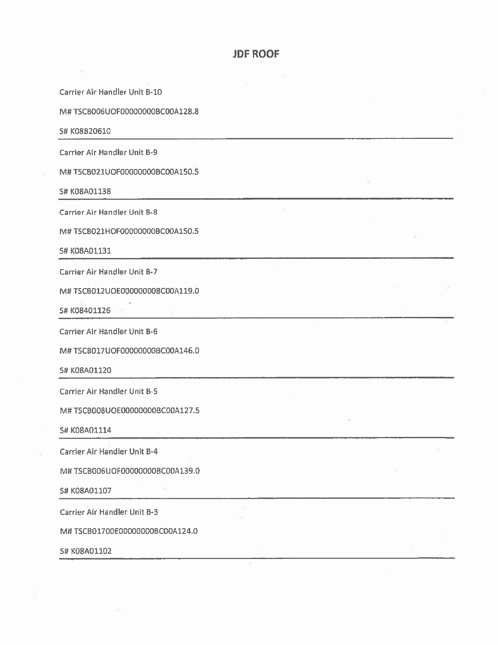#### **JDF ROOF**

Carrier Air Handler Unit B-10

M# TSCB006UOF00000000BC00A128.8

S# K08B20610

Carrier Air Handler Unit B-9

M#TSCB021UOF00000000BC00A150.5

S# K08A01138

Carrier Air Handler Unit B-8

M# TSCB021HOF00000000BC00A150.5

S# K08A01131

Carrier Air Handler Unit B-7

M# TSCB012UOE000000008C00A119.0

S# K08401126

Carrier Air Handler Unit B-6

M# TSCB017UOF00000000BC00A146.0

S# K08A01120

Carrier Air Handler Unit B-5

M# TSCB008UOE00000000BC00A127.5

S# K08A01114

Carrier Air Handler Unit B-4

M# TSCB006UOF00000000BC00A139.0

S# K08A01107

Carrier Air Handler Unit B-3

M# TSCB01700E00000000BC00A124.0

S# K08A01102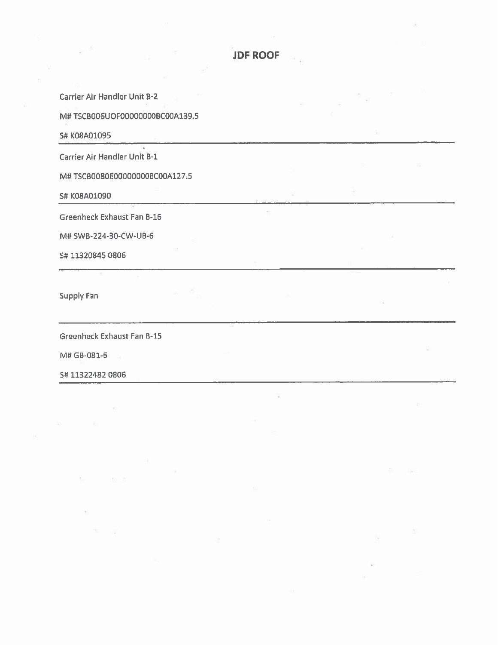**JDF ROOF** 

**Carrier Air Handler Unit B-2** M# TSCB006UOF000000000BC00A139.5 S# K08A01095 U. Carrier Air Handler Unit B-1 M# TSCB0080E00000000BC00A127.5 S# K08A01090  $\tilde{\gamma}$ **Greenheck Exhaust Fan B-16** M# SWB-224-30-CW-UB-6 S# 11320845 0806 Supply Fan Greenheck Exhaust Fan B-15 M# GB-081-6 S# 11322482 0806

 $\tau$  .

53 世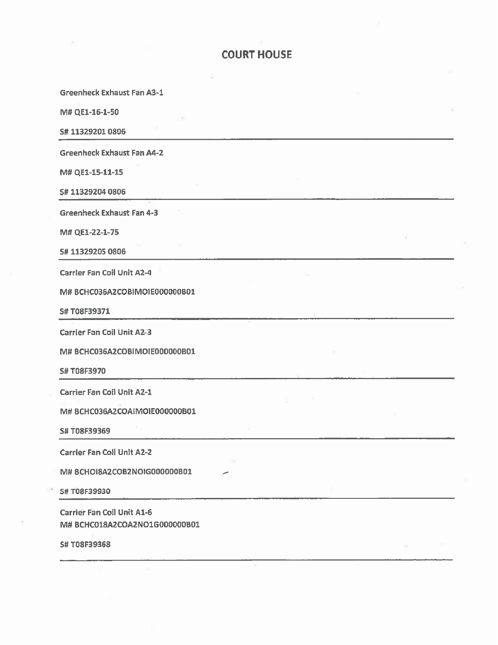| <b>Greenheck Exhaust Fan A3-1</b>                                  |  |  |  |  |  |  |
|--------------------------------------------------------------------|--|--|--|--|--|--|
| M# QE1-16-1-50                                                     |  |  |  |  |  |  |
| S# 11329201 0806                                                   |  |  |  |  |  |  |
| <b>Greenheck Exhaust Fan A4-2</b>                                  |  |  |  |  |  |  |
| M# QE1-15-11-15                                                    |  |  |  |  |  |  |
| 5#113292040806                                                     |  |  |  |  |  |  |
| <b>Greenheck Exhaust Fan 4-3</b>                                   |  |  |  |  |  |  |
| M# QE1-22-1-75                                                     |  |  |  |  |  |  |
| 5#113292050806                                                     |  |  |  |  |  |  |
| <b>Carrier Fan Coil Unit A2-4</b>                                  |  |  |  |  |  |  |
| M# BCHC036A2COBIMOIE000000B01                                      |  |  |  |  |  |  |
| S#T08F39371                                                        |  |  |  |  |  |  |
| <b>Carrier Fan Coil Unit A2-3</b>                                  |  |  |  |  |  |  |
| M# BCHC036A2COBIMOIE000000B01                                      |  |  |  |  |  |  |
| <b>S#T08F3970</b>                                                  |  |  |  |  |  |  |
| <b>Carrier Fan Coil Unit A2-1</b>                                  |  |  |  |  |  |  |
| M# BCHC036A2COAIMOIE000000B01                                      |  |  |  |  |  |  |
| S# T08F39369                                                       |  |  |  |  |  |  |
| <b>Carrier Fan Coll Unit A2-2</b>                                  |  |  |  |  |  |  |
| M# BCHOI8A2COB2NOIG000000B01                                       |  |  |  |  |  |  |
| S#T08F39930                                                        |  |  |  |  |  |  |
| <b>Carrier Fan Coil Unit A1-6</b><br>M# BCHC018A2COA2NO1G000000B01 |  |  |  |  |  |  |
| <b>SH TORFRORER</b>                                                |  |  |  |  |  |  |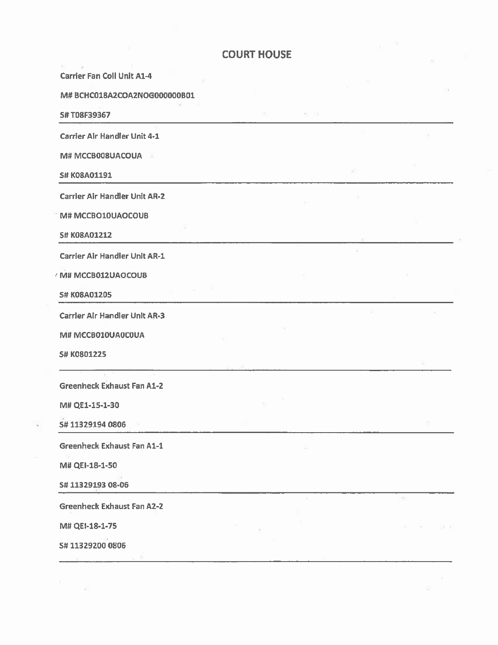| <b>Carrier Fan Coil Unit A1-4</b>    |  |     |   |
|--------------------------------------|--|-----|---|
| M# BCHC018A2COA2NOG000000B01         |  |     |   |
| S#T08F39367                          |  |     |   |
| Carrier Air Handler Unit 4-1         |  |     |   |
| M# MCCB008UACOUA<br>- 80             |  |     |   |
| S# K08A01191                         |  |     |   |
| <b>Carrier Air Handler Unit AR-2</b> |  | UP. |   |
| M# MCCBO10UAOCOUB                    |  |     |   |
| <b>S# K08A01212</b>                  |  |     |   |
| <b>Carrier Air Handler Unit AR-1</b> |  |     |   |
| / M# MCCB012UAOCOUB                  |  |     |   |
| S# K08A01205                         |  |     |   |
| <b>Carrier Air Handler Unit AR-3</b> |  |     |   |
| M# MCCB010UA0C0UA                    |  |     |   |
| S# K0801225                          |  |     |   |
|                                      |  |     |   |
| <b>Greenheck Exhaust Fan A1-2</b>    |  |     |   |
| M# QE1-15-1-30                       |  |     |   |
| S#113291940806                       |  |     |   |
| <b>Greenheck Exhaust Fan A1-1</b>    |  |     |   |
| M# QEI-18-1-50                       |  |     |   |
| S# 11329193 08-06                    |  |     |   |
| <b>Greenheck Exhaust Fan A2-2</b>    |  |     | 五 |
| M# QEI-18-1-75                       |  |     |   |
| S# 11329200 0806                     |  |     |   |
|                                      |  |     |   |

 $\widehat{\mathbf{w}}$ 

 $\sigma_{\rm{max}}$ 

 $\frac{1}{\sqrt{2}}$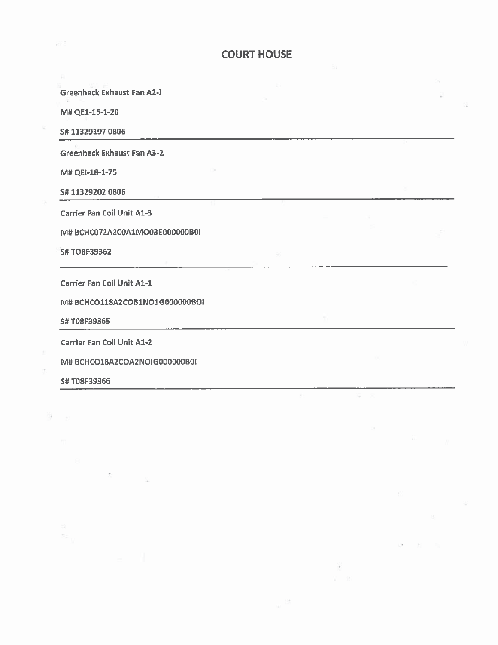**Greenheck Exhaust Fan A2-I** 

M# QE1-15-1-20

S# 11329197 0806

**Greenheck Exhaust Fan A3-2** 

M# QEI-18-1-75

S#113292020806

**Carrier Fan Coil Unit A1-3** 

M# BCHC072A2C0A1MO03E000000B0I

**S#TO8F39362** 

Carrier Fan Coil Unit A1-1

M# BCHCO118A2COB1NO1G000000BOI

S# T08F39365

**Carrier Fan Coil Unit A1-2** 

M# BCHCO18A2COA2NOIG000000B0I

S# T08F39366

8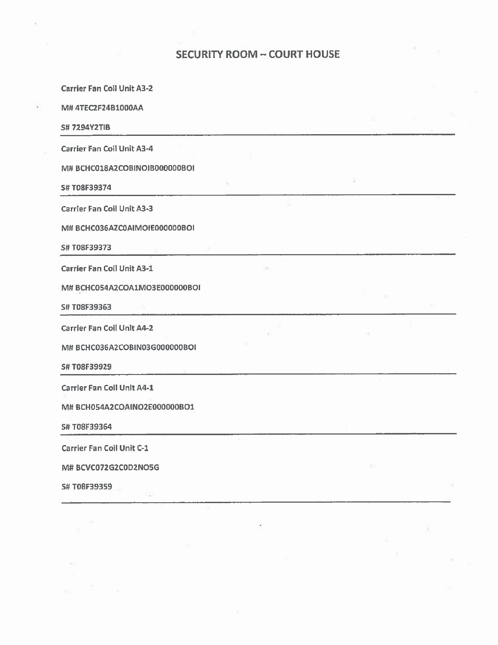# **SECURITY ROOM - COURT HOUSE**

G

 $\mathcal{C}^{(1)}_{\mathcal{C}^{(2)}}$ 

 $\frac{1}{2}$  and  $\frac{1}{2}$ 

谢。

 $\langle \cdot \rangle^{\rm H}_{\rm L}$ 

| - 96 |    |
|------|----|
|      |    |
|      |    |
|      |    |
|      |    |
|      |    |
|      |    |
|      |    |
|      |    |
|      |    |
|      |    |
|      | 94 |
|      |    |